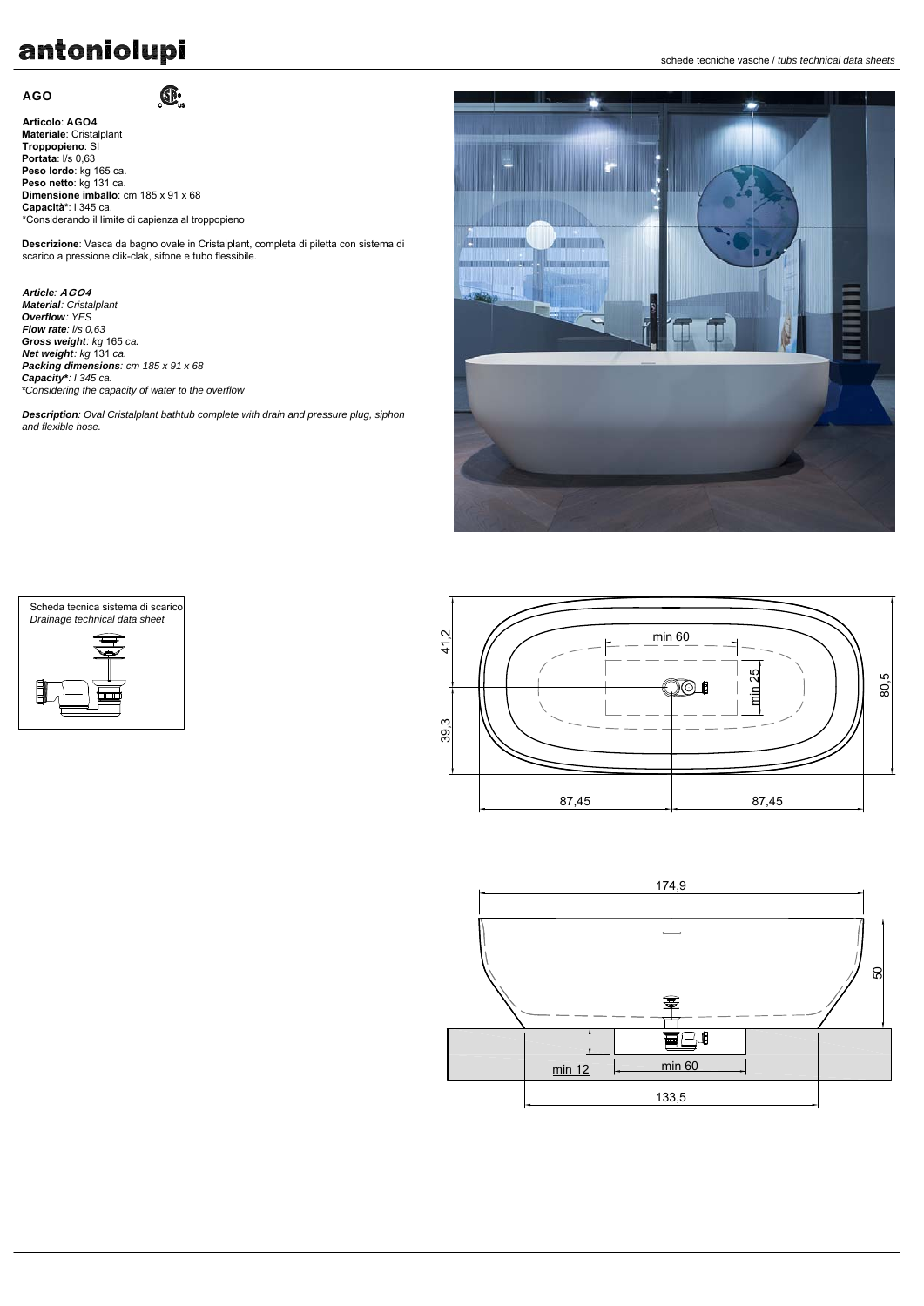# antoniolupi

# AGO

**Articolo**: AGO4 **Materiale**: Cristalplant **Troppopieno**: SI **Portata**: l/s 0,63 **Peso lordo**: kg 165 ca. **Peso netto**: kg 131 ca. **Dimensione imballo**: cm 185 x 91 x 68 **Capacità\***: l 345 ca. \*Considerando il limite di capienza al troppopieno

 $\mathbf{C}$ 

**Descrizione**: Vasca da bagno ovale in Cristalplant, completa di piletta con sistema di scarico a pressione clik-clak, sifone e tubo flessibile.

*Article:* AGO4 *Material: Cristalplant Overflow: YES Flow rate: l/s 0,63 Gross weight: kg* 165 *ca. Net weight: kg* 131 *ca. Packing dimensions: cm 185 x 91 x 68 Capacity\*: l 345 ca. \*Considering the capacity of water to the overflow*

*Description: Oval Cristalplant bathtub complete with drain and pressure plug, siphon and flexible hose.*



Scheda tecnica sistema di scarico *Drainage technical data sheet*